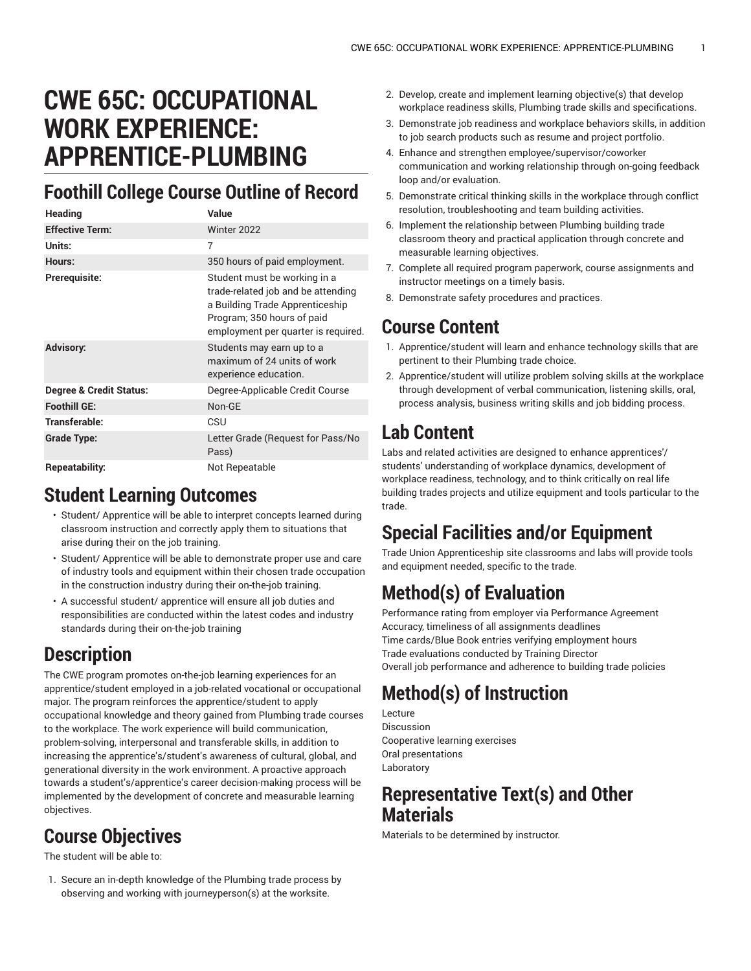# **CWE 65C: OCCUPATIONAL WORK EXPERIENCE: APPRENTICE-PLUMBING**

### **Foothill College Course Outline of Record**

| Heading                            | Value                                                                                                                                                                      |
|------------------------------------|----------------------------------------------------------------------------------------------------------------------------------------------------------------------------|
| <b>Effective Term:</b>             | Winter 2022                                                                                                                                                                |
| Units:                             | 7                                                                                                                                                                          |
| Hours:                             | 350 hours of paid employment.                                                                                                                                              |
| Prerequisite:                      | Student must be working in a<br>trade-related job and be attending<br>a Building Trade Apprenticeship<br>Program; 350 hours of paid<br>employment per quarter is required. |
| <b>Advisory:</b>                   | Students may earn up to a<br>maximum of 24 units of work<br>experience education.                                                                                          |
| <b>Degree &amp; Credit Status:</b> | Degree-Applicable Credit Course                                                                                                                                            |
| <b>Foothill GE:</b>                | Non-GE                                                                                                                                                                     |
| Transferable:                      | CSU                                                                                                                                                                        |
| Grade Type:                        | Letter Grade (Request for Pass/No<br>Pass)                                                                                                                                 |
| Repeatability:                     | Not Repeatable                                                                                                                                                             |

#### **Student Learning Outcomes**

- Student/ Apprentice will be able to interpret concepts learned during classroom instruction and correctly apply them to situations that arise during their on the job training.
- Student/ Apprentice will be able to demonstrate proper use and care of industry tools and equipment within their chosen trade occupation in the construction industry during their on-the-job training.
- A successful student/ apprentice will ensure all job duties and responsibilities are conducted within the latest codes and industry standards during their on-the-job training

## **Description**

The CWE program promotes on-the-job learning experiences for an apprentice/student employed in a job-related vocational or occupational major. The program reinforces the apprentice/student to apply occupational knowledge and theory gained from Plumbing trade courses to the workplace. The work experience will build communication, problem-solving, interpersonal and transferable skills, in addition to increasing the apprentice's/student's awareness of cultural, global, and generational diversity in the work environment. A proactive approach towards a student's/apprentice's career decision-making process will be implemented by the development of concrete and measurable learning objectives.

## **Course Objectives**

The student will be able to:

1. Secure an in-depth knowledge of the Plumbing trade process by observing and working with journeyperson(s) at the worksite.

- 2. Develop, create and implement learning objective(s) that develop workplace readiness skills, Plumbing trade skills and specifications.
- 3. Demonstrate job readiness and workplace behaviors skills, in addition to job search products such as resume and project portfolio.
- 4. Enhance and strengthen employee/supervisor/coworker communication and working relationship through on-going feedback loop and/or evaluation.
- 5. Demonstrate critical thinking skills in the workplace through conflict resolution, troubleshooting and team building activities.
- 6. Implement the relationship between Plumbing building trade classroom theory and practical application through concrete and measurable learning objectives.
- 7. Complete all required program paperwork, course assignments and instructor meetings on a timely basis.
- 8. Demonstrate safety procedures and practices.

#### **Course Content**

- 1. Apprentice/student will learn and enhance technology skills that are pertinent to their Plumbing trade choice.
- 2. Apprentice/student will utilize problem solving skills at the workplace through development of verbal communication, listening skills, oral, process analysis, business writing skills and job bidding process.

# **Lab Content**

Labs and related activities are designed to enhance apprentices'/ students' understanding of workplace dynamics, development of workplace readiness, technology, and to think critically on real life building trades projects and utilize equipment and tools particular to the trade.

# **Special Facilities and/or Equipment**

Trade Union Apprenticeship site classrooms and labs will provide tools and equipment needed, specific to the trade.

# **Method(s) of Evaluation**

Performance rating from employer via Performance Agreement Accuracy, timeliness of all assignments deadlines Time cards/Blue Book entries verifying employment hours Trade evaluations conducted by Training Director Overall job performance and adherence to building trade policies

# **Method(s) of Instruction**

Lecture Discussion Cooperative learning exercises Oral presentations Laboratory

#### **Representative Text(s) and Other Materials**

Materials to be determined by instructor.